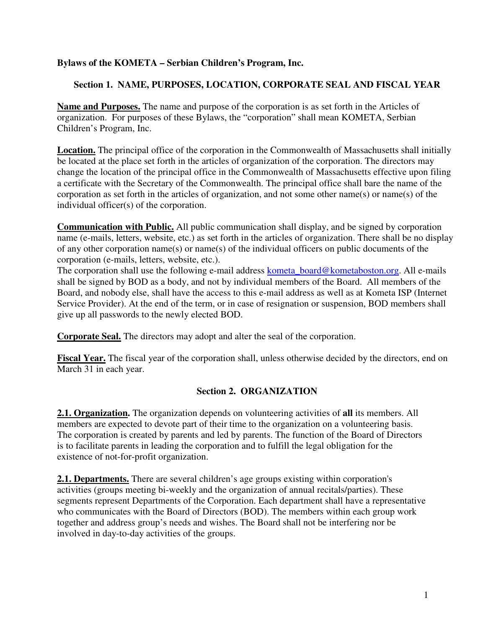### **Bylaws of the KOMETA – Serbian Children's Program, Inc.**

### **Section 1. NAME, PURPOSES, LOCATION, CORPORATE SEAL AND FISCAL YEAR**

**Name and Purposes.** The name and purpose of the corporation is as set forth in the Articles of organization. For purposes of these Bylaws, the "corporation" shall mean KOMETA, Serbian Children's Program, Inc.

**Location.** The principal office of the corporation in the Commonwealth of Massachusetts shall initially be located at the place set forth in the articles of organization of the corporation. The directors may change the location of the principal office in the Commonwealth of Massachusetts effective upon filing a certificate with the Secretary of the Commonwealth. The principal office shall bare the name of the corporation as set forth in the articles of organization, and not some other name(s) or name(s) of the individual officer(s) of the corporation.

**Communication with Public.** All public communication shall display, and be signed by corporation name (e-mails, letters, website, etc.) as set forth in the articles of organization. There shall be no display of any other corporation name(s) or name(s) of the individual officers on public documents of the corporation (e-mails, letters, website, etc.).

The corporation shall use the following e-mail address kometa\_board@kometaboston.org. All e-mails shall be signed by BOD as a body, and not by individual members of the Board. All members of the Board, and nobody else, shall have the access to this e-mail address as well as at Kometa ISP (Internet Service Provider). At the end of the term, or in case of resignation or suspension, BOD members shall give up all passwords to the newly elected BOD.

**Corporate Seal.** The directors may adopt and alter the seal of the corporation.

**Fiscal Year.** The fiscal year of the corporation shall, unless otherwise decided by the directors, end on March 31 in each year.

## **Section 2. ORGANIZATION**

**2.1. Organization.** The organization depends on volunteering activities of **all** its members. All members are expected to devote part of their time to the organization on a volunteering basis. The corporation is created by parents and led by parents. The function of the Board of Directors is to facilitate parents in leading the corporation and to fulfill the legal obligation for the existence of not-for-profit organization.

**2.1. Departments.** There are several children's age groups existing within corporation's activities (groups meeting bi-weekly and the organization of annual recitals/parties). These segments represent Departments of the Corporation. Each department shall have a representative who communicates with the Board of Directors (BOD). The members within each group work together and address group's needs and wishes. The Board shall not be interfering nor be involved in day-to-day activities of the groups.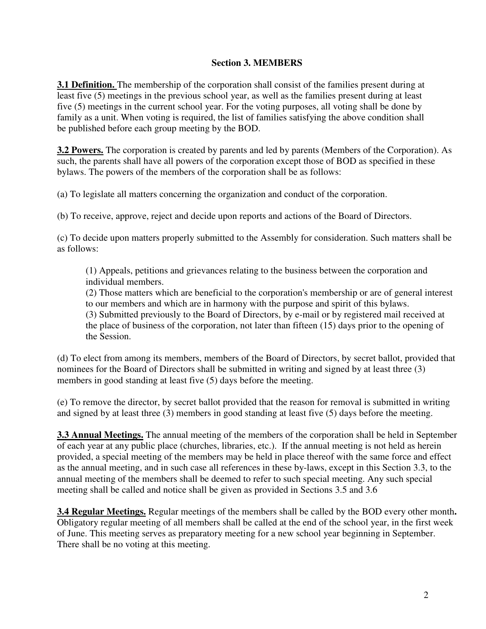#### **Section 3. MEMBERS**

**3.1 Definition.** The membership of the corporation shall consist of the families present during at least five (5) meetings in the previous school year, as well as the families present during at least five (5) meetings in the current school year. For the voting purposes, all voting shall be done by family as a unit. When voting is required, the list of families satisfying the above condition shall be published before each group meeting by the BOD.

**3.2 Powers.** The corporation is created by parents and led by parents (Members of the Corporation). As such, the parents shall have all powers of the corporation except those of BOD as specified in these bylaws. The powers of the members of the corporation shall be as follows:

(a) To legislate all matters concerning the organization and conduct of the corporation.

(b) To receive, approve, reject and decide upon reports and actions of the Board of Directors.

(c) To decide upon matters properly submitted to the Assembly for consideration. Such matters shall be as follows:

(1) Appeals, petitions and grievances relating to the business between the corporation and individual members.

(2) Those matters which are beneficial to the corporation's membership or are of general interest to our members and which are in harmony with the purpose and spirit of this bylaws.

(3) Submitted previously to the Board of Directors, by e-mail or by registered mail received at the place of business of the corporation, not later than fifteen (15) days prior to the opening of the Session.

(d) To elect from among its members, members of the Board of Directors, by secret ballot, provided that nominees for the Board of Directors shall be submitted in writing and signed by at least three (3) members in good standing at least five (5) days before the meeting.

(e) To remove the director, by secret ballot provided that the reason for removal is submitted in writing and signed by at least three (3) members in good standing at least five (5) days before the meeting.

**3.3 Annual Meetings.** The annual meeting of the members of the corporation shall be held in September of each year at any public place (churches, libraries, etc.). If the annual meeting is not held as herein provided, a special meeting of the members may be held in place thereof with the same force and effect as the annual meeting, and in such case all references in these by-laws, except in this Section 3.3, to the annual meeting of the members shall be deemed to refer to such special meeting. Any such special meeting shall be called and notice shall be given as provided in Sections 3.5 and 3.6

**3.4 Regular Meetings.** Regular meetings of the members shall be called by the BOD every other month**.**  Obligatory regular meeting of all members shall be called at the end of the school year, in the first week of June. This meeting serves as preparatory meeting for a new school year beginning in September. There shall be no voting at this meeting.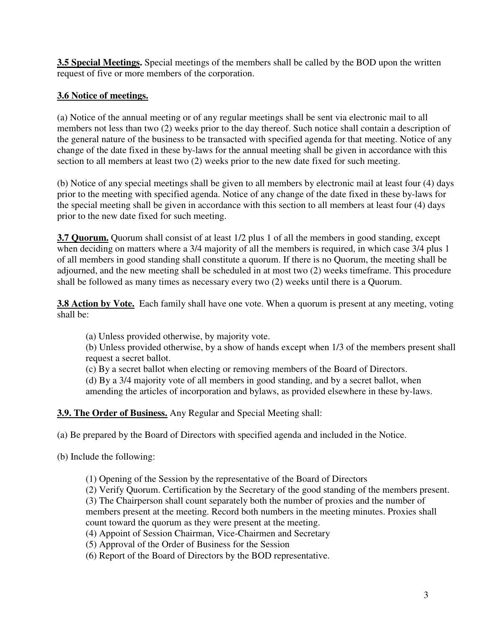**3.5 Special Meetings.** Special meetings of the members shall be called by the BOD upon the written request of five or more members of the corporation.

# **3.6 Notice of meetings.**

(a) Notice of the annual meeting or of any regular meetings shall be sent via electronic mail to all members not less than two (2) weeks prior to the day thereof. Such notice shall contain a description of the general nature of the business to be transacted with specified agenda for that meeting. Notice of any change of the date fixed in these by-laws for the annual meeting shall be given in accordance with this section to all members at least two (2) weeks prior to the new date fixed for such meeting.

(b) Notice of any special meetings shall be given to all members by electronic mail at least four (4) days prior to the meeting with specified agenda. Notice of any change of the date fixed in these by-laws for the special meeting shall be given in accordance with this section to all members at least four (4) days prior to the new date fixed for such meeting.

**3.7 Quorum.** Quorum shall consist of at least 1/2 plus 1 of all the members in good standing, except when deciding on matters where a 3/4 majority of all the members is required, in which case 3/4 plus 1 of all members in good standing shall constitute a quorum. If there is no Quorum, the meeting shall be adjourned, and the new meeting shall be scheduled in at most two (2) weeks timeframe. This procedure shall be followed as many times as necessary every two (2) weeks until there is a Quorum.

**3.8 Action by Vote.** Each family shall have one vote. When a quorum is present at any meeting, voting shall be:

(a) Unless provided otherwise, by majority vote.

(b) Unless provided otherwise, by a show of hands except when 1/3 of the members present shall request a secret ballot.

(c) By a secret ballot when electing or removing members of the Board of Directors.

(d) By a 3/4 majority vote of all members in good standing, and by a secret ballot, when amending the articles of incorporation and bylaws, as provided elsewhere in these by-laws.

## **3.9. The Order of Business.** Any Regular and Special Meeting shall:

(a) Be prepared by the Board of Directors with specified agenda and included in the Notice.

(b) Include the following:

(1) Opening of the Session by the representative of the Board of Directors

(2) Verify Quorum. Certification by the Secretary of the good standing of the members present. (3) The Chairperson shall count separately both the number of proxies and the number of members present at the meeting. Record both numbers in the meeting minutes. Proxies shall count toward the quorum as they were present at the meeting.

(4) Appoint of Session Chairman, Vice-Chairmen and Secretary

(5) Approval of the Order of Business for the Session

(6) Report of the Board of Directors by the BOD representative.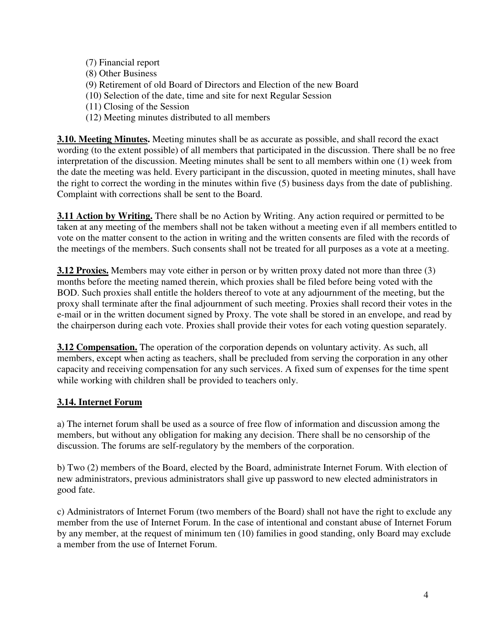- (7) Financial report
- (8) Other Business
- (9) Retirement of old Board of Directors and Election of the new Board
- (10) Selection of the date, time and site for next Regular Session
- (11) Closing of the Session
- (12) Meeting minutes distributed to all members

**3.10. Meeting Minutes.** Meeting minutes shall be as accurate as possible, and shall record the exact wording (to the extent possible) of all members that participated in the discussion. There shall be no free interpretation of the discussion. Meeting minutes shall be sent to all members within one (1) week from the date the meeting was held. Every participant in the discussion, quoted in meeting minutes, shall have the right to correct the wording in the minutes within five (5) business days from the date of publishing. Complaint with corrections shall be sent to the Board.

**3.11 Action by Writing.** There shall be no Action by Writing. Any action required or permitted to be taken at any meeting of the members shall not be taken without a meeting even if all members entitled to vote on the matter consent to the action in writing and the written consents are filed with the records of the meetings of the members. Such consents shall not be treated for all purposes as a vote at a meeting.

**3.12 Proxies.** Members may vote either in person or by written proxy dated not more than three (3) months before the meeting named therein, which proxies shall be filed before being voted with the BOD. Such proxies shall entitle the holders thereof to vote at any adjournment of the meeting, but the proxy shall terminate after the final adjournment of such meeting. Proxies shall record their votes in the e-mail or in the written document signed by Proxy. The vote shall be stored in an envelope, and read by the chairperson during each vote. Proxies shall provide their votes for each voting question separately.

**3.12 Compensation.** The operation of the corporation depends on voluntary activity. As such, all members, except when acting as teachers, shall be precluded from serving the corporation in any other capacity and receiving compensation for any such services. A fixed sum of expenses for the time spent while working with children shall be provided to teachers only.

## **3.14. Internet Forum**

a) The internet forum shall be used as a source of free flow of information and discussion among the members, but without any obligation for making any decision. There shall be no censorship of the discussion. The forums are self-regulatory by the members of the corporation.

b) Two (2) members of the Board, elected by the Board, administrate Internet Forum. With election of new administrators, previous administrators shall give up password to new elected administrators in good fate.

c) Administrators of Internet Forum (two members of the Board) shall not have the right to exclude any member from the use of Internet Forum. In the case of intentional and constant abuse of Internet Forum by any member, at the request of minimum ten (10) families in good standing, only Board may exclude a member from the use of Internet Forum.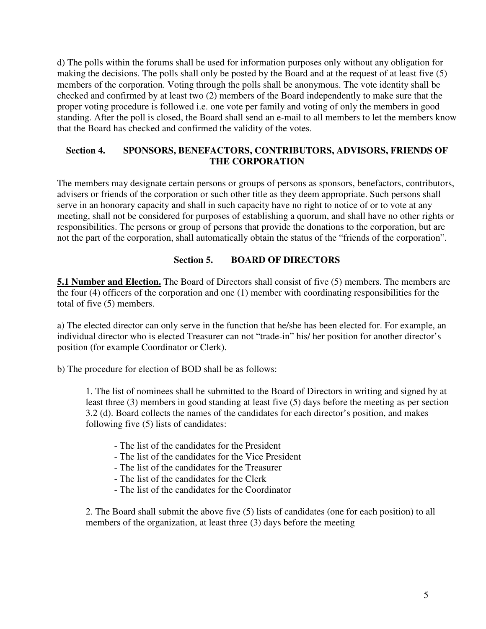d) The polls within the forums shall be used for information purposes only without any obligation for making the decisions. The polls shall only be posted by the Board and at the request of at least five (5) members of the corporation. Voting through the polls shall be anonymous. The vote identity shall be checked and confirmed by at least two (2) members of the Board independently to make sure that the proper voting procedure is followed i.e. one vote per family and voting of only the members in good standing. After the poll is closed, the Board shall send an e-mail to all members to let the members know that the Board has checked and confirmed the validity of the votes.

### **Section 4. SPONSORS, BENEFACTORS, CONTRIBUTORS, ADVISORS, FRIENDS OF THE CORPORATION**

The members may designate certain persons or groups of persons as sponsors, benefactors, contributors, advisers or friends of the corporation or such other title as they deem appropriate. Such persons shall serve in an honorary capacity and shall in such capacity have no right to notice of or to vote at any meeting, shall not be considered for purposes of establishing a quorum, and shall have no other rights or responsibilities. The persons or group of persons that provide the donations to the corporation, but are not the part of the corporation, shall automatically obtain the status of the "friends of the corporation".

### **Section 5. BOARD OF DIRECTORS**

**5.1 Number and Election.** The Board of Directors shall consist of five (5) members. The members are the four (4) officers of the corporation and one (1) member with coordinating responsibilities for the total of five (5) members.

a) The elected director can only serve in the function that he/she has been elected for. For example, an individual director who is elected Treasurer can not "trade-in" his/ her position for another director's position (for example Coordinator or Clerk).

b) The procedure for election of BOD shall be as follows:

1. The list of nominees shall be submitted to the Board of Directors in writing and signed by at least three (3) members in good standing at least five (5) days before the meeting as per section 3.2 (d). Board collects the names of the candidates for each director's position, and makes following five (5) lists of candidates:

- The list of the candidates for the President
- The list of the candidates for the Vice President
- The list of the candidates for the Treasurer
- The list of the candidates for the Clerk
- The list of the candidates for the Coordinator

2. The Board shall submit the above five (5) lists of candidates (one for each position) to all members of the organization, at least three (3) days before the meeting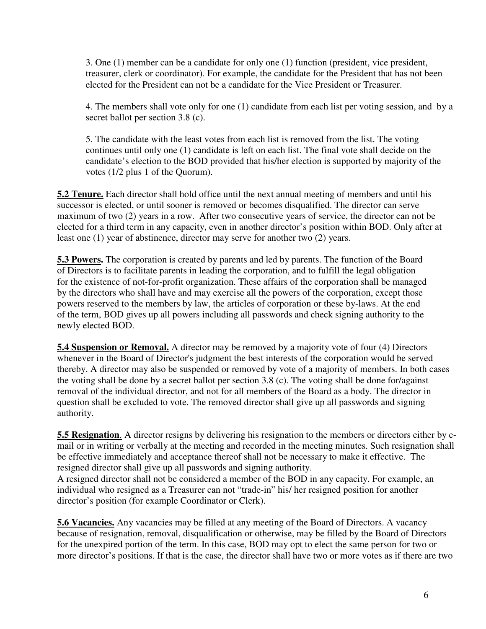3. One (1) member can be a candidate for only one (1) function (president, vice president, treasurer, clerk or coordinator). For example, the candidate for the President that has not been elected for the President can not be a candidate for the Vice President or Treasurer.

4. The members shall vote only for one (1) candidate from each list per voting session, and by a secret ballot per section 3.8 (c).

5. The candidate with the least votes from each list is removed from the list. The voting continues until only one (1) candidate is left on each list. The final vote shall decide on the candidate's election to the BOD provided that his/her election is supported by majority of the votes (1/2 plus 1 of the Quorum).

**5.2 Tenure.** Each director shall hold office until the next annual meeting of members and until his successor is elected, or until sooner is removed or becomes disqualified. The director can serve maximum of two (2) years in a row. After two consecutive years of service, the director can not be elected for a third term in any capacity, even in another director's position within BOD. Only after at least one (1) year of abstinence, director may serve for another two (2) years.

**5.3 Powers.** The corporation is created by parents and led by parents. The function of the Board of Directors is to facilitate parents in leading the corporation, and to fulfill the legal obligation for the existence of not-for-profit organization. These affairs of the corporation shall be managed by the directors who shall have and may exercise all the powers of the corporation, except those powers reserved to the members by law, the articles of corporation or these by-laws. At the end of the term, BOD gives up all powers including all passwords and check signing authority to the newly elected BOD.

**5.4 Suspension or Removal.** A director may be removed by a majority vote of four (4) Directors whenever in the Board of Director's judgment the best interests of the corporation would be served thereby. A director may also be suspended or removed by vote of a majority of members. In both cases the voting shall be done by a secret ballot per section 3.8 (c). The voting shall be done for/against removal of the individual director, and not for all members of the Board as a body. The director in question shall be excluded to vote. The removed director shall give up all passwords and signing authority.

**5.5 Resignation**. A director resigns by delivering his resignation to the members or directors either by email or in writing or verbally at the meeting and recorded in the meeting minutes. Such resignation shall be effective immediately and acceptance thereof shall not be necessary to make it effective. The resigned director shall give up all passwords and signing authority.

A resigned director shall not be considered a member of the BOD in any capacity. For example, an individual who resigned as a Treasurer can not "trade-in" his/ her resigned position for another director's position (for example Coordinator or Clerk).

**5.6 Vacancies.** Any vacancies may be filled at any meeting of the Board of Directors. A vacancy because of resignation, removal, disqualification or otherwise, may be filled by the Board of Directors for the unexpired portion of the term. In this case, BOD may opt to elect the same person for two or more director's positions. If that is the case, the director shall have two or more votes as if there are two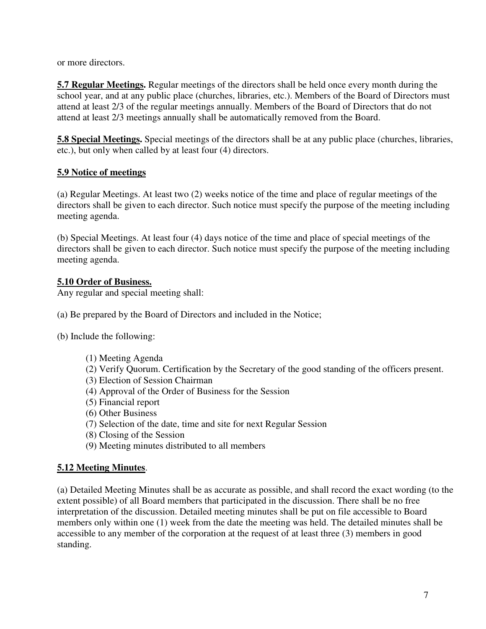or more directors.

**5.7 Regular Meetings.** Regular meetings of the directors shall be held once every month during the school year, and at any public place (churches, libraries, etc.). Members of the Board of Directors must attend at least 2/3 of the regular meetings annually. Members of the Board of Directors that do not attend at least 2/3 meetings annually shall be automatically removed from the Board.

**5.8 Special Meetings.** Special meetings of the directors shall be at any public place (churches, libraries, etc.), but only when called by at least four (4) directors.

### **5.9 Notice of meetings**

(a) Regular Meetings. At least two (2) weeks notice of the time and place of regular meetings of the directors shall be given to each director. Such notice must specify the purpose of the meeting including meeting agenda.

(b) Special Meetings. At least four (4) days notice of the time and place of special meetings of the directors shall be given to each director. Such notice must specify the purpose of the meeting including meeting agenda.

### **5.10 Order of Business.**

Any regular and special meeting shall:

- (a) Be prepared by the Board of Directors and included in the Notice;
- (b) Include the following:
	- (1) Meeting Agenda
	- (2) Verify Quorum. Certification by the Secretary of the good standing of the officers present.
	- (3) Election of Session Chairman
	- (4) Approval of the Order of Business for the Session
	- (5) Financial report
	- (6) Other Business
	- (7) Selection of the date, time and site for next Regular Session
	- (8) Closing of the Session
	- (9) Meeting minutes distributed to all members

## **5.12 Meeting Minutes**.

(a) Detailed Meeting Minutes shall be as accurate as possible, and shall record the exact wording (to the extent possible) of all Board members that participated in the discussion. There shall be no free interpretation of the discussion. Detailed meeting minutes shall be put on file accessible to Board members only within one (1) week from the date the meeting was held. The detailed minutes shall be accessible to any member of the corporation at the request of at least three (3) members in good standing.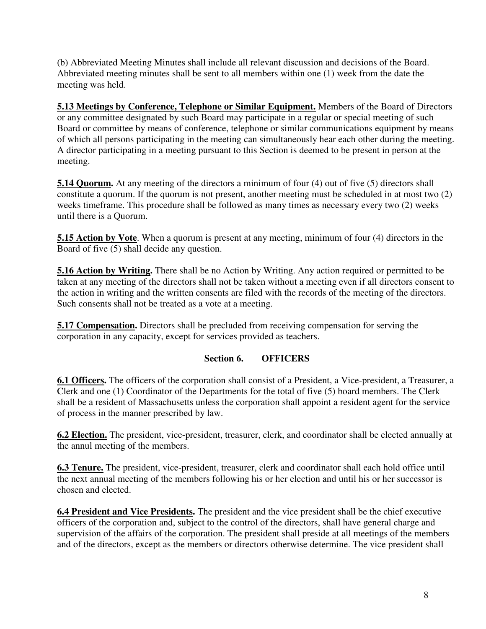(b) Abbreviated Meeting Minutes shall include all relevant discussion and decisions of the Board. Abbreviated meeting minutes shall be sent to all members within one (1) week from the date the meeting was held.

**5.13 Meetings by Conference, Telephone or Similar Equipment.** Members of the Board of Directors or any committee designated by such Board may participate in a regular or special meeting of such Board or committee by means of conference, telephone or similar communications equipment by means of which all persons participating in the meeting can simultaneously hear each other during the meeting. A director participating in a meeting pursuant to this Section is deemed to be present in person at the meeting.

**5.14 Quorum.** At any meeting of the directors a minimum of four (4) out of five (5) directors shall constitute a quorum. If the quorum is not present, another meeting must be scheduled in at most two (2) weeks timeframe. This procedure shall be followed as many times as necessary every two (2) weeks until there is a Quorum.

**5.15 Action by Vote**. When a quorum is present at any meeting, minimum of four (4) directors in the Board of five (5) shall decide any question.

**5.16 Action by Writing.** There shall be no Action by Writing. Any action required or permitted to be taken at any meeting of the directors shall not be taken without a meeting even if all directors consent to the action in writing and the written consents are filed with the records of the meeting of the directors. Such consents shall not be treated as a vote at a meeting.

**5.17 Compensation.** Directors shall be precluded from receiving compensation for serving the corporation in any capacity, except for services provided as teachers.

## **Section 6. OFFICERS**

**6.1 Officers.** The officers of the corporation shall consist of a President, a Vice-president, a Treasurer, a Clerk and one (1) Coordinator of the Departments for the total of five (5) board members. The Clerk shall be a resident of Massachusetts unless the corporation shall appoint a resident agent for the service of process in the manner prescribed by law.

**6.2 Election.** The president, vice-president, treasurer, clerk, and coordinator shall be elected annually at the annul meeting of the members.

**6.3 Tenure.** The president, vice-president, treasurer, clerk and coordinator shall each hold office until the next annual meeting of the members following his or her election and until his or her successor is chosen and elected.

**6.4 President and Vice Presidents.** The president and the vice president shall be the chief executive officers of the corporation and, subject to the control of the directors, shall have general charge and supervision of the affairs of the corporation. The president shall preside at all meetings of the members and of the directors, except as the members or directors otherwise determine. The vice president shall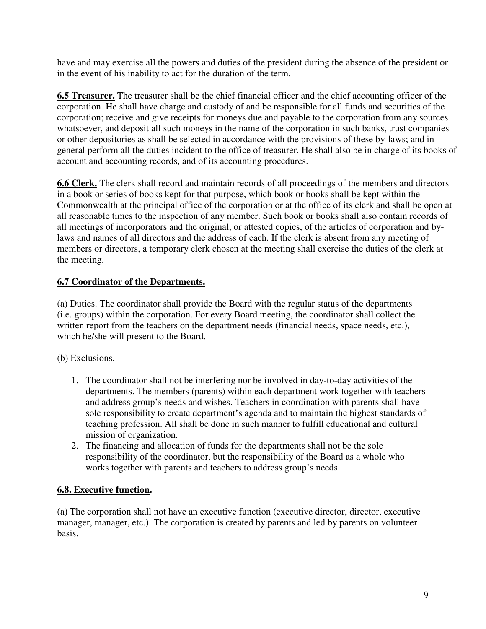have and may exercise all the powers and duties of the president during the absence of the president or in the event of his inability to act for the duration of the term.

**6.5 Treasurer.** The treasurer shall be the chief financial officer and the chief accounting officer of the corporation. He shall have charge and custody of and be responsible for all funds and securities of the corporation; receive and give receipts for moneys due and payable to the corporation from any sources whatsoever, and deposit all such moneys in the name of the corporation in such banks, trust companies or other depositories as shall be selected in accordance with the provisions of these by-laws; and in general perform all the duties incident to the office of treasurer. He shall also be in charge of its books of account and accounting records, and of its accounting procedures.

**6.6 Clerk.** The clerk shall record and maintain records of all proceedings of the members and directors in a book or series of books kept for that purpose, which book or books shall be kept within the Commonwealth at the principal office of the corporation or at the office of its clerk and shall be open at all reasonable times to the inspection of any member. Such book or books shall also contain records of all meetings of incorporators and the original, or attested copies, of the articles of corporation and bylaws and names of all directors and the address of each. If the clerk is absent from any meeting of members or directors, a temporary clerk chosen at the meeting shall exercise the duties of the clerk at the meeting.

# **6.7 Coordinator of the Departments.**

(a) Duties. The coordinator shall provide the Board with the regular status of the departments (i.e. groups) within the corporation. For every Board meeting, the coordinator shall collect the written report from the teachers on the department needs (financial needs, space needs, etc.), which he/she will present to the Board.

(b) Exclusions.

- 1. The coordinator shall not be interfering nor be involved in day-to-day activities of the departments. The members (parents) within each department work together with teachers and address group's needs and wishes. Teachers in coordination with parents shall have sole responsibility to create department's agenda and to maintain the highest standards of teaching profession. All shall be done in such manner to fulfill educational and cultural mission of organization.
- 2. The financing and allocation of funds for the departments shall not be the sole responsibility of the coordinator, but the responsibility of the Board as a whole who works together with parents and teachers to address group's needs.

## **6.8. Executive function.**

(a) The corporation shall not have an executive function (executive director, director, executive manager, manager, etc.). The corporation is created by parents and led by parents on volunteer basis.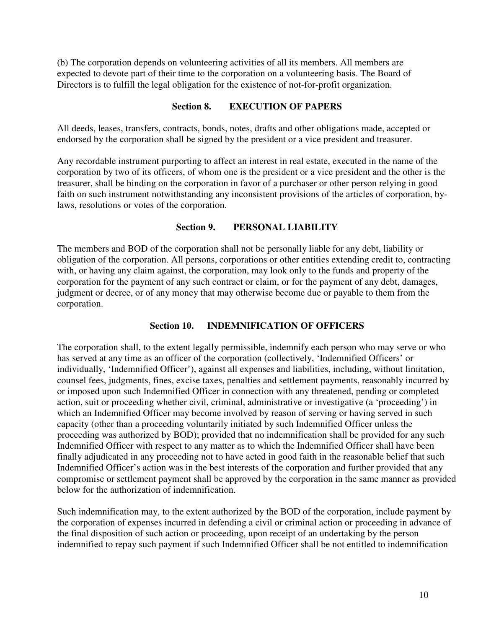(b) The corporation depends on volunteering activities of all its members. All members are expected to devote part of their time to the corporation on a volunteering basis. The Board of Directors is to fulfill the legal obligation for the existence of not-for-profit organization.

#### **Section 8. EXECUTION OF PAPERS**

All deeds, leases, transfers, contracts, bonds, notes, drafts and other obligations made, accepted or endorsed by the corporation shall be signed by the president or a vice president and treasurer.

Any recordable instrument purporting to affect an interest in real estate, executed in the name of the corporation by two of its officers, of whom one is the president or a vice president and the other is the treasurer, shall be binding on the corporation in favor of a purchaser or other person relying in good faith on such instrument notwithstanding any inconsistent provisions of the articles of corporation, bylaws, resolutions or votes of the corporation.

### **Section 9. PERSONAL LIABILITY**

The members and BOD of the corporation shall not be personally liable for any debt, liability or obligation of the corporation. All persons, corporations or other entities extending credit to, contracting with, or having any claim against, the corporation, may look only to the funds and property of the corporation for the payment of any such contract or claim, or for the payment of any debt, damages, judgment or decree, or of any money that may otherwise become due or payable to them from the corporation.

### **Section 10. INDEMNIFICATION OF OFFICERS**

The corporation shall, to the extent legally permissible, indemnify each person who may serve or who has served at any time as an officer of the corporation (collectively, 'Indemnified Officers' or individually, 'Indemnified Officer'), against all expenses and liabilities, including, without limitation, counsel fees, judgments, fines, excise taxes, penalties and settlement payments, reasonably incurred by or imposed upon such Indemnified Officer in connection with any threatened, pending or completed action, suit or proceeding whether civil, criminal, administrative or investigative (a 'proceeding') in which an Indemnified Officer may become involved by reason of serving or having served in such capacity (other than a proceeding voluntarily initiated by such Indemnified Officer unless the proceeding was authorized by BOD); provided that no indemnification shall be provided for any such Indemnified Officer with respect to any matter as to which the Indemnified Officer shall have been finally adjudicated in any proceeding not to have acted in good faith in the reasonable belief that such Indemnified Officer's action was in the best interests of the corporation and further provided that any compromise or settlement payment shall be approved by the corporation in the same manner as provided below for the authorization of indemnification.

Such indemnification may, to the extent authorized by the BOD of the corporation, include payment by the corporation of expenses incurred in defending a civil or criminal action or proceeding in advance of the final disposition of such action or proceeding, upon receipt of an undertaking by the person indemnified to repay such payment if such Indemnified Officer shall be not entitled to indemnification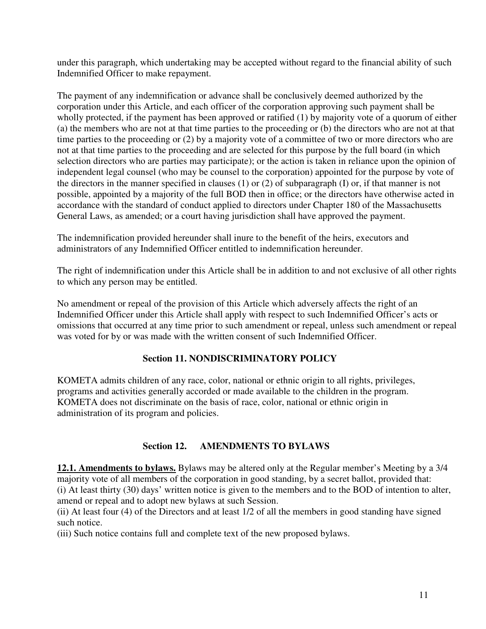under this paragraph, which undertaking may be accepted without regard to the financial ability of such Indemnified Officer to make repayment.

The payment of any indemnification or advance shall be conclusively deemed authorized by the corporation under this Article, and each officer of the corporation approving such payment shall be wholly protected, if the payment has been approved or ratified (1) by majority vote of a quorum of either (a) the members who are not at that time parties to the proceeding or (b) the directors who are not at that time parties to the proceeding or (2) by a majority vote of a committee of two or more directors who are not at that time parties to the proceeding and are selected for this purpose by the full board (in which selection directors who are parties may participate); or the action is taken in reliance upon the opinion of independent legal counsel (who may be counsel to the corporation) appointed for the purpose by vote of the directors in the manner specified in clauses (1) or (2) of subparagraph (I) or, if that manner is not possible, appointed by a majority of the full BOD then in office; or the directors have otherwise acted in accordance with the standard of conduct applied to directors under Chapter 180 of the Massachusetts General Laws, as amended; or a court having jurisdiction shall have approved the payment.

The indemnification provided hereunder shall inure to the benefit of the heirs, executors and administrators of any Indemnified Officer entitled to indemnification hereunder.

The right of indemnification under this Article shall be in addition to and not exclusive of all other rights to which any person may be entitled.

No amendment or repeal of the provision of this Article which adversely affects the right of an Indemnified Officer under this Article shall apply with respect to such Indemnified Officer's acts or omissions that occurred at any time prior to such amendment or repeal, unless such amendment or repeal was voted for by or was made with the written consent of such Indemnified Officer.

### **Section 11. NONDISCRIMINATORY POLICY**

KOMETA admits children of any race, color, national or ethnic origin to all rights, privileges, programs and activities generally accorded or made available to the children in the program. KOMETA does not discriminate on the basis of race, color, national or ethnic origin in administration of its program and policies.

## **Section 12. AMENDMENTS TO BYLAWS**

**12.1. Amendments to bylaws.** Bylaws may be altered only at the Regular member's Meeting by a 3/4 majority vote of all members of the corporation in good standing, by a secret ballot, provided that: (i) At least thirty (30) days' written notice is given to the members and to the BOD of intention to alter, amend or repeal and to adopt new bylaws at such Session.

(ii) At least four (4) of the Directors and at least 1/2 of all the members in good standing have signed such notice.

(iii) Such notice contains full and complete text of the new proposed bylaws.